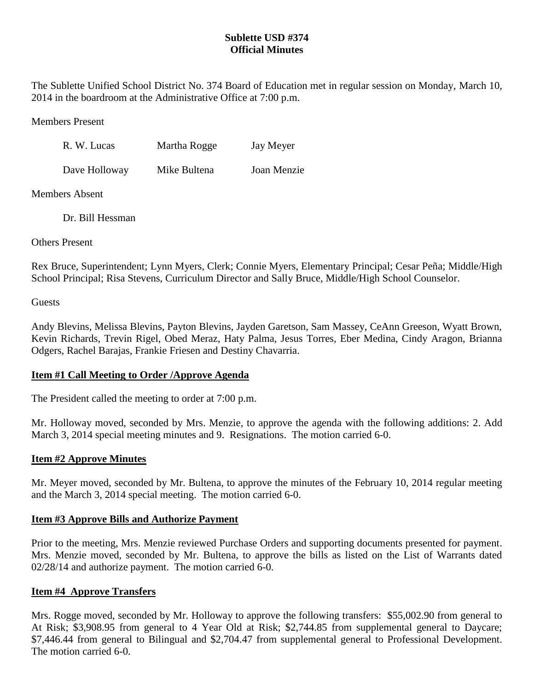# **Sublette USD #374 Official Minutes**

The Sublette Unified School District No. 374 Board of Education met in regular session on Monday, March 10, 2014 in the boardroom at the Administrative Office at 7:00 p.m.

Members Present

| R. W. Lucas   | Martha Rogge | Jay Meyer   |
|---------------|--------------|-------------|
| Dave Holloway | Mike Bultena | Joan Menzie |

Members Absent

Dr. Bill Hessman

Others Present

Rex Bruce, Superintendent; Lynn Myers, Clerk; Connie Myers, Elementary Principal; Cesar Peña; Middle/High School Principal; Risa Stevens, Curriculum Director and Sally Bruce, Middle/High School Counselor.

**Guests** 

Andy Blevins, Melissa Blevins, Payton Blevins, Jayden Garetson, Sam Massey, CeAnn Greeson, Wyatt Brown, Kevin Richards, Trevin Rigel, Obed Meraz, Haty Palma, Jesus Torres, Eber Medina, Cindy Aragon, Brianna Odgers, Rachel Barajas, Frankie Friesen and Destiny Chavarria.

# **Item #1 Call Meeting to Order /Approve Agenda**

The President called the meeting to order at 7:00 p.m.

Mr. Holloway moved, seconded by Mrs. Menzie, to approve the agenda with the following additions: 2. Add March 3, 2014 special meeting minutes and 9. Resignations. The motion carried 6-0.

# **Item #2 Approve Minutes**

Mr. Meyer moved, seconded by Mr. Bultena, to approve the minutes of the February 10, 2014 regular meeting and the March 3, 2014 special meeting. The motion carried 6-0.

# **Item #3 Approve Bills and Authorize Payment**

Prior to the meeting, Mrs. Menzie reviewed Purchase Orders and supporting documents presented for payment. Mrs. Menzie moved, seconded by Mr. Bultena, to approve the bills as listed on the List of Warrants dated 02/28/14 and authorize payment. The motion carried 6-0.

# **Item #4 Approve Transfers**

Mrs. Rogge moved, seconded by Mr. Holloway to approve the following transfers: \$55,002.90 from general to At Risk; \$3,908.95 from general to 4 Year Old at Risk; \$2,744.85 from supplemental general to Daycare; \$7,446.44 from general to Bilingual and \$2,704.47 from supplemental general to Professional Development. The motion carried 6-0.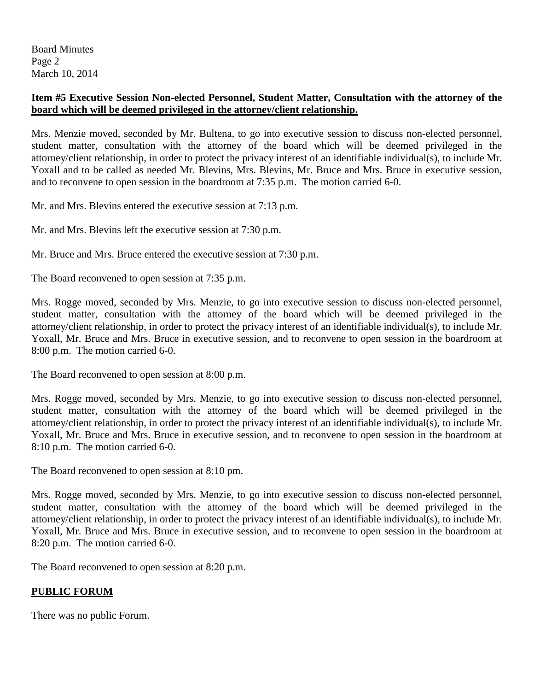Board Minutes Page 2 March 10, 2014

# **Item #5 Executive Session Non-elected Personnel, Student Matter, Consultation with the attorney of the board which will be deemed privileged in the attorney/client relationship.**

Mrs. Menzie moved, seconded by Mr. Bultena, to go into executive session to discuss non-elected personnel, student matter, consultation with the attorney of the board which will be deemed privileged in the attorney/client relationship, in order to protect the privacy interest of an identifiable individual(s), to include Mr. Yoxall and to be called as needed Mr. Blevins, Mrs. Blevins, Mr. Bruce and Mrs. Bruce in executive session, and to reconvene to open session in the boardroom at 7:35 p.m. The motion carried 6-0.

Mr. and Mrs. Blevins entered the executive session at 7:13 p.m.

Mr. and Mrs. Blevins left the executive session at 7:30 p.m.

Mr. Bruce and Mrs. Bruce entered the executive session at 7:30 p.m.

The Board reconvened to open session at 7:35 p.m.

Mrs. Rogge moved, seconded by Mrs. Menzie, to go into executive session to discuss non-elected personnel, student matter, consultation with the attorney of the board which will be deemed privileged in the attorney/client relationship, in order to protect the privacy interest of an identifiable individual(s), to include Mr. Yoxall, Mr. Bruce and Mrs. Bruce in executive session, and to reconvene to open session in the boardroom at 8:00 p.m. The motion carried 6-0.

The Board reconvened to open session at 8:00 p.m.

Mrs. Rogge moved, seconded by Mrs. Menzie, to go into executive session to discuss non-elected personnel, student matter, consultation with the attorney of the board which will be deemed privileged in the attorney/client relationship, in order to protect the privacy interest of an identifiable individual(s), to include Mr. Yoxall, Mr. Bruce and Mrs. Bruce in executive session, and to reconvene to open session in the boardroom at 8:10 p.m. The motion carried 6-0.

The Board reconvened to open session at 8:10 pm.

Mrs. Rogge moved, seconded by Mrs. Menzie, to go into executive session to discuss non-elected personnel, student matter, consultation with the attorney of the board which will be deemed privileged in the attorney/client relationship, in order to protect the privacy interest of an identifiable individual(s), to include Mr. Yoxall, Mr. Bruce and Mrs. Bruce in executive session, and to reconvene to open session in the boardroom at 8:20 p.m. The motion carried 6-0.

The Board reconvened to open session at 8:20 p.m.

### **PUBLIC FORUM**

There was no public Forum.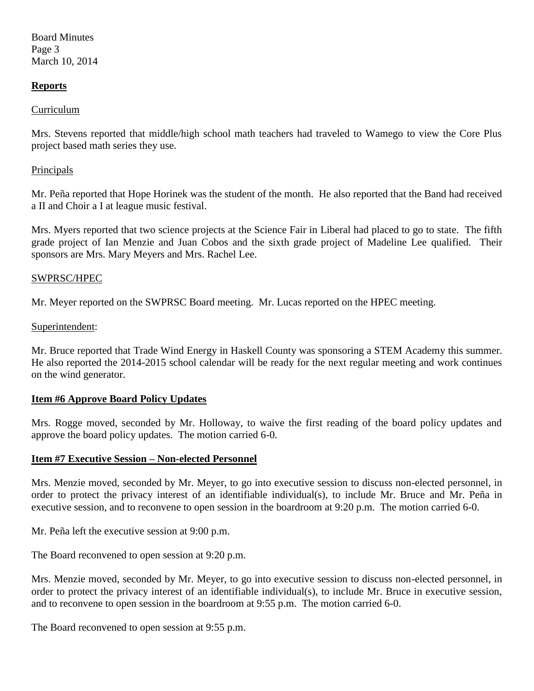Board Minutes Page 3 March 10, 2014

### **Reports**

#### Curriculum

Mrs. Stevens reported that middle/high school math teachers had traveled to Wamego to view the Core Plus project based math series they use.

#### **Principals**

Mr. Peña reported that Hope Horinek was the student of the month. He also reported that the Band had received a II and Choir a I at league music festival.

Mrs. Myers reported that two science projects at the Science Fair in Liberal had placed to go to state. The fifth grade project of Ian Menzie and Juan Cobos and the sixth grade project of Madeline Lee qualified. Their sponsors are Mrs. Mary Meyers and Mrs. Rachel Lee.

#### SWPRSC/HPEC

Mr. Meyer reported on the SWPRSC Board meeting. Mr. Lucas reported on the HPEC meeting.

#### Superintendent:

Mr. Bruce reported that Trade Wind Energy in Haskell County was sponsoring a STEM Academy this summer. He also reported the 2014-2015 school calendar will be ready for the next regular meeting and work continues on the wind generator.

### **Item #6 Approve Board Policy Updates**

Mrs. Rogge moved, seconded by Mr. Holloway, to waive the first reading of the board policy updates and approve the board policy updates. The motion carried 6-0.

### **Item #7 Executive Session – Non-elected Personnel**

Mrs. Menzie moved, seconded by Mr. Meyer, to go into executive session to discuss non-elected personnel, in order to protect the privacy interest of an identifiable individual(s), to include Mr. Bruce and Mr. Peña in executive session, and to reconvene to open session in the boardroom at 9:20 p.m. The motion carried 6-0.

Mr. Peña left the executive session at 9:00 p.m.

The Board reconvened to open session at 9:20 p.m.

Mrs. Menzie moved, seconded by Mr. Meyer, to go into executive session to discuss non-elected personnel, in order to protect the privacy interest of an identifiable individual(s), to include Mr. Bruce in executive session, and to reconvene to open session in the boardroom at 9:55 p.m. The motion carried 6-0.

The Board reconvened to open session at 9:55 p.m.